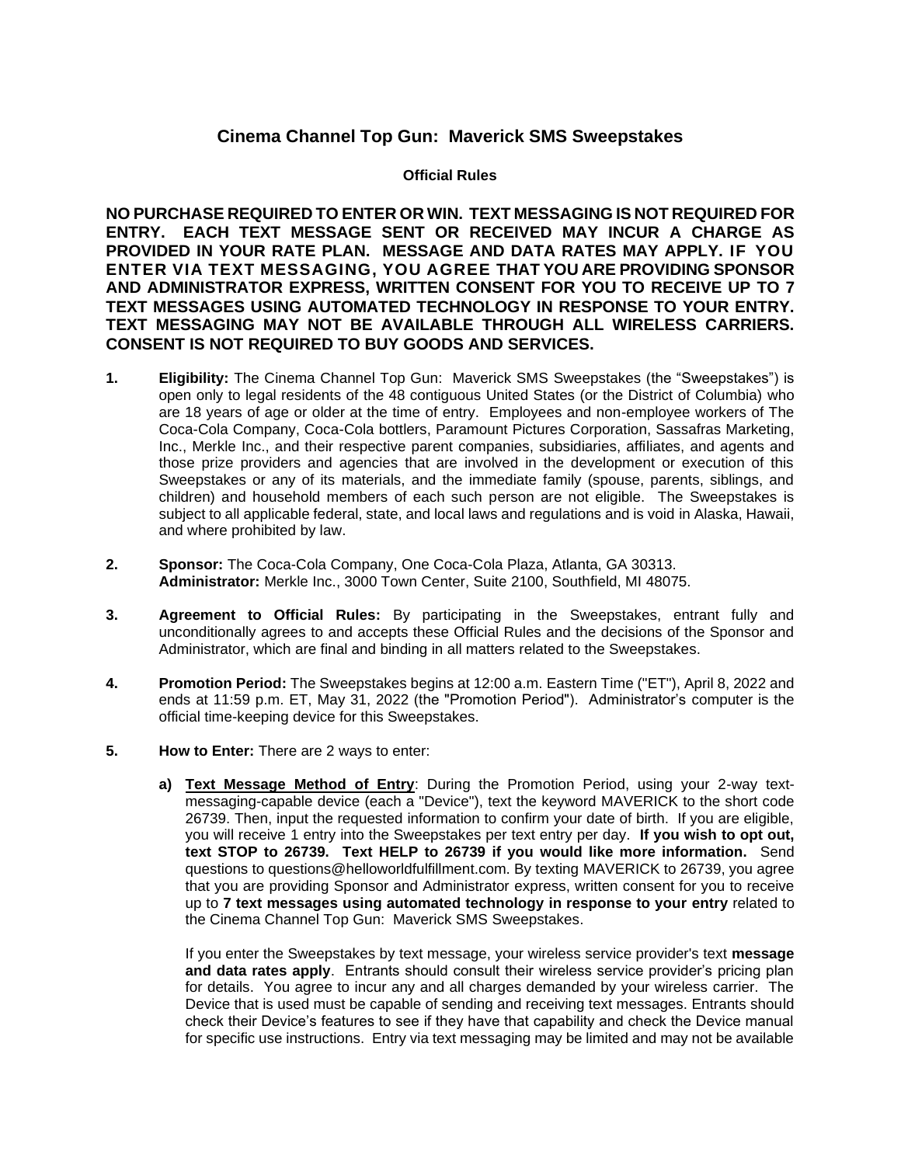## **Cinema Channel Top Gun: Maverick SMS Sweepstakes**

## **Official Rules**

**NO PURCHASE REQUIRED TO ENTER OR WIN. TEXT MESSAGING IS NOT REQUIRED FOR ENTRY. EACH TEXT MESSAGE SENT OR RECEIVED MAY INCUR A CHARGE AS PROVIDED IN YOUR RATE PLAN. MESSAGE AND DATA RATES MAY APPLY. IF YOU ENTER VIA TEXT MESSAGING, YOU AGREE THAT YOU ARE PROVIDING SPONSOR AND ADMINISTRATOR EXPRESS, WRITTEN CONSENT FOR YOU TO RECEIVE UP TO 7 TEXT MESSAGES USING AUTOMATED TECHNOLOGY IN RESPONSE TO YOUR ENTRY. TEXT MESSAGING MAY NOT BE AVAILABLE THROUGH ALL WIRELESS CARRIERS. CONSENT IS NOT REQUIRED TO BUY GOODS AND SERVICES.**

- **1. Eligibility:** The Cinema Channel Top Gun: Maverick SMS Sweepstakes (the "Sweepstakes") is open only to legal residents of the 48 contiguous United States (or the District of Columbia) who are 18 years of age or older at the time of entry. Employees and non-employee workers of The Coca-Cola Company, Coca-Cola bottlers, Paramount Pictures Corporation, Sassafras Marketing, Inc., Merkle Inc., and their respective parent companies, subsidiaries, affiliates, and agents and those prize providers and agencies that are involved in the development or execution of this Sweepstakes or any of its materials, and the immediate family (spouse, parents, siblings, and children) and household members of each such person are not eligible. The Sweepstakes is subject to all applicable federal, state, and local laws and regulations and is void in Alaska, Hawaii, and where prohibited by law.
- **2. Sponsor:** The Coca-Cola Company, One Coca-Cola Plaza, Atlanta, GA 30313. **Administrator:** Merkle Inc., 3000 Town Center, Suite 2100, Southfield, MI 48075.
- **3. Agreement to Official Rules:** By participating in the Sweepstakes, entrant fully and unconditionally agrees to and accepts these Official Rules and the decisions of the Sponsor and Administrator, which are final and binding in all matters related to the Sweepstakes.
- **4. Promotion Period:** The Sweepstakes begins at 12:00 a.m. Eastern Time ("ET"), April 8, 2022 and ends at 11:59 p.m. ET, May 31, 2022 (the "Promotion Period"). Administrator's computer is the official time-keeping device for this Sweepstakes.
- **5. How to Enter:** There are 2 ways to enter:
	- **a) Text Message Method of Entry**: During the Promotion Period, using your 2-way textmessaging-capable device (each a "Device"), text the keyword MAVERICK to the short code 26739. Then, input the requested information to confirm your date of birth. If you are eligible, you will receive 1 entry into the Sweepstakes per text entry per day. **If you wish to opt out, text STOP to 26739. Text HELP to 26739 if you would like more information.** Send questions to questions@helloworldfulfillment.com. By texting MAVERICK to 26739, you agree that you are providing Sponsor and Administrator express, written consent for you to receive up to **7 text messages using automated technology in response to your entry** related to the Cinema Channel Top Gun: Maverick SMS Sweepstakes.

If you enter the Sweepstakes by text message, your wireless service provider's text **message and data rates apply**. Entrants should consult their wireless service provider's pricing plan for details. You agree to incur any and all charges demanded by your wireless carrier. The Device that is used must be capable of sending and receiving text messages. Entrants should check their Device's features to see if they have that capability and check the Device manual for specific use instructions. Entry via text messaging may be limited and may not be available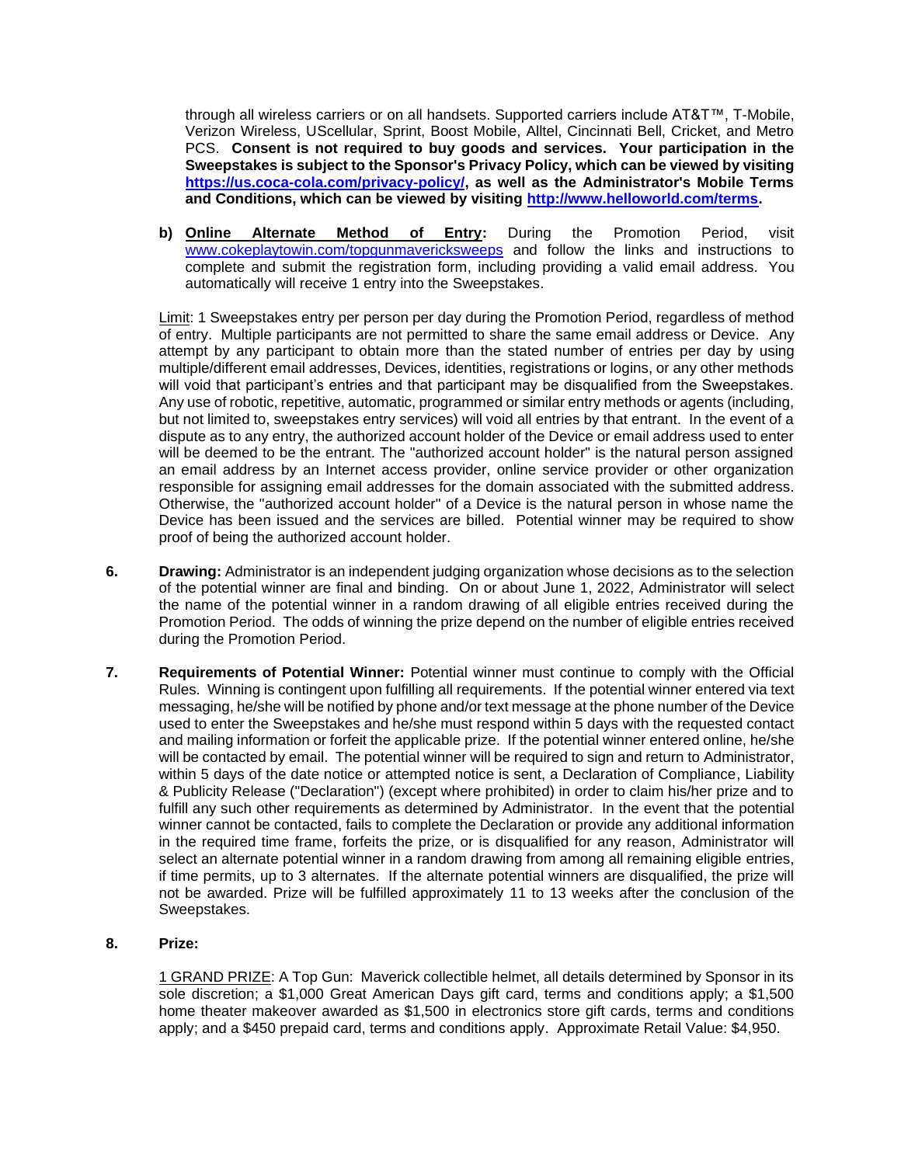through all wireless carriers or on all handsets. Supported carriers include AT&T™, T-Mobile, Verizon Wireless, UScellular, Sprint, Boost Mobile, Alltel, Cincinnati Bell, Cricket, and Metro PCS. **Consent is not required to buy goods and services. Your participation in the Sweepstakes is subject to the Sponsor's Privacy Policy, which can be viewed by visiting [https://us.coca-cola.com/privacy-policy/,](https://us.coca-cola.com/privacy-policy/) as well as the Administrator's Mobile Terms and Conditions, which can be viewed by visiting [http://www.helloworld.com/terms.](http://www.helloworld.com/terms)**

**b) Online Alternate Method of Entry:** During the Promotion Period, visit [www.cokeplaytowin.com/topgunmavericksweeps](http://www.cokeplaytowin.com/topgunmavericksweeps) and follow the links and instructions to complete and submit the registration form, including providing a valid email address. You automatically will receive 1 entry into the Sweepstakes.

Limit: 1 Sweepstakes entry per person per day during the Promotion Period, regardless of method of entry. Multiple participants are not permitted to share the same email address or Device. Any attempt by any participant to obtain more than the stated number of entries per day by using multiple/different email addresses, Devices, identities, registrations or logins, or any other methods will void that participant's entries and that participant may be disqualified from the Sweepstakes. Any use of robotic, repetitive, automatic, programmed or similar entry methods or agents (including, but not limited to, sweepstakes entry services) will void all entries by that entrant. In the event of a dispute as to any entry, the authorized account holder of the Device or email address used to enter will be deemed to be the entrant. The "authorized account holder" is the natural person assigned an email address by an Internet access provider, online service provider or other organization responsible for assigning email addresses for the domain associated with the submitted address. Otherwise, the "authorized account holder" of a Device is the natural person in whose name the Device has been issued and the services are billed. Potential winner may be required to show proof of being the authorized account holder.

- **6. Drawing:** Administrator is an independent judging organization whose decisions as to the selection of the potential winner are final and binding. On or about June 1, 2022, Administrator will select the name of the potential winner in a random drawing of all eligible entries received during the Promotion Period. The odds of winning the prize depend on the number of eligible entries received during the Promotion Period.
- **7. Requirements of Potential Winner:** Potential winner must continue to comply with the Official Rules. Winning is contingent upon fulfilling all requirements. If the potential winner entered via text messaging, he/she will be notified by phone and/or text message at the phone number of the Device used to enter the Sweepstakes and he/she must respond within 5 days with the requested contact and mailing information or forfeit the applicable prize. If the potential winner entered online, he/she will be contacted by email. The potential winner will be required to sign and return to Administrator, within 5 days of the date notice or attempted notice is sent, a Declaration of Compliance, Liability & Publicity Release ("Declaration") (except where prohibited) in order to claim his/her prize and to fulfill any such other requirements as determined by Administrator. In the event that the potential winner cannot be contacted, fails to complete the Declaration or provide any additional information in the required time frame, forfeits the prize, or is disqualified for any reason, Administrator will select an alternate potential winner in a random drawing from among all remaining eligible entries, if time permits, up to 3 alternates. If the alternate potential winners are disqualified, the prize will not be awarded. Prize will be fulfilled approximately 11 to 13 weeks after the conclusion of the Sweepstakes.

## **8. Prize:**

1 GRAND PRIZE: A Top Gun: Maverick collectible helmet, all details determined by Sponsor in its sole discretion; a \$1,000 Great American Days gift card, terms and conditions apply; a \$1,500 home theater makeover awarded as \$1,500 in electronics store gift cards, terms and conditions apply; and a \$450 prepaid card, terms and conditions apply. Approximate Retail Value: \$4,950.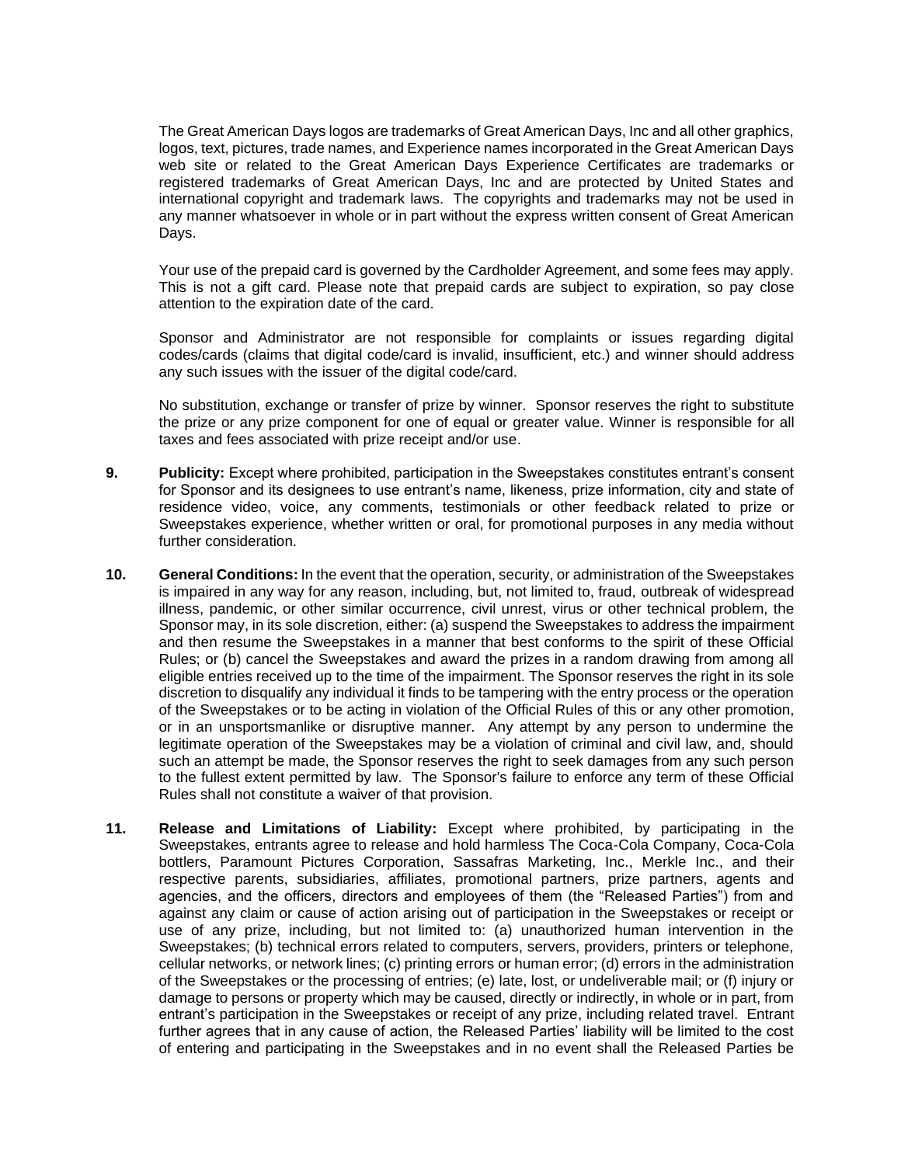The Great American Days logos are trademarks of Great American Days, Inc and all other graphics, logos, text, pictures, trade names, and Experience names incorporated in the Great American Days web site or related to the Great American Days Experience Certificates are trademarks or registered trademarks of Great American Days, Inc and are protected by United States and international copyright and trademark laws. The copyrights and trademarks may not be used in any manner whatsoever in whole or in part without the express written consent of Great American Days.

Your use of the prepaid card is governed by the Cardholder Agreement, and some fees may apply. This is not a gift card. Please note that prepaid cards are subject to expiration, so pay close attention to the expiration date of the card.

Sponsor and Administrator are not responsible for complaints or issues regarding digital codes/cards (claims that digital code/card is invalid, insufficient, etc.) and winner should address any such issues with the issuer of the digital code/card.

No substitution, exchange or transfer of prize by winner. Sponsor reserves the right to substitute the prize or any prize component for one of equal or greater value. Winner is responsible for all taxes and fees associated with prize receipt and/or use.

- **9. Publicity:** Except where prohibited, participation in the Sweepstakes constitutes entrant's consent for Sponsor and its designees to use entrant's name, likeness, prize information, city and state of residence video, voice, any comments, testimonials or other feedback related to prize or Sweepstakes experience, whether written or oral, for promotional purposes in any media without further consideration.
- **10. General Conditions:** In the event that the operation, security, or administration of the Sweepstakes is impaired in any way for any reason, including, but, not limited to, fraud, outbreak of widespread illness, pandemic, or other similar occurrence, civil unrest, virus or other technical problem, the Sponsor may, in its sole discretion, either: (a) suspend the Sweepstakes to address the impairment and then resume the Sweepstakes in a manner that best conforms to the spirit of these Official Rules; or (b) cancel the Sweepstakes and award the prizes in a random drawing from among all eligible entries received up to the time of the impairment. The Sponsor reserves the right in its sole discretion to disqualify any individual it finds to be tampering with the entry process or the operation of the Sweepstakes or to be acting in violation of the Official Rules of this or any other promotion, or in an unsportsmanlike or disruptive manner. Any attempt by any person to undermine the legitimate operation of the Sweepstakes may be a violation of criminal and civil law, and, should such an attempt be made, the Sponsor reserves the right to seek damages from any such person to the fullest extent permitted by law. The Sponsor's failure to enforce any term of these Official Rules shall not constitute a waiver of that provision.
- **11. Release and Limitations of Liability:** Except where prohibited, by participating in the Sweepstakes, entrants agree to release and hold harmless The Coca-Cola Company, Coca-Cola bottlers, Paramount Pictures Corporation, Sassafras Marketing, Inc., Merkle Inc., and their respective parents, subsidiaries, affiliates, promotional partners, prize partners, agents and agencies, and the officers, directors and employees of them (the "Released Parties") from and against any claim or cause of action arising out of participation in the Sweepstakes or receipt or use of any prize, including, but not limited to: (a) unauthorized human intervention in the Sweepstakes; (b) technical errors related to computers, servers, providers, printers or telephone, cellular networks, or network lines; (c) printing errors or human error; (d) errors in the administration of the Sweepstakes or the processing of entries; (e) late, lost, or undeliverable mail; or (f) injury or damage to persons or property which may be caused, directly or indirectly, in whole or in part, from entrant's participation in the Sweepstakes or receipt of any prize, including related travel. Entrant further agrees that in any cause of action, the Released Parties' liability will be limited to the cost of entering and participating in the Sweepstakes and in no event shall the Released Parties be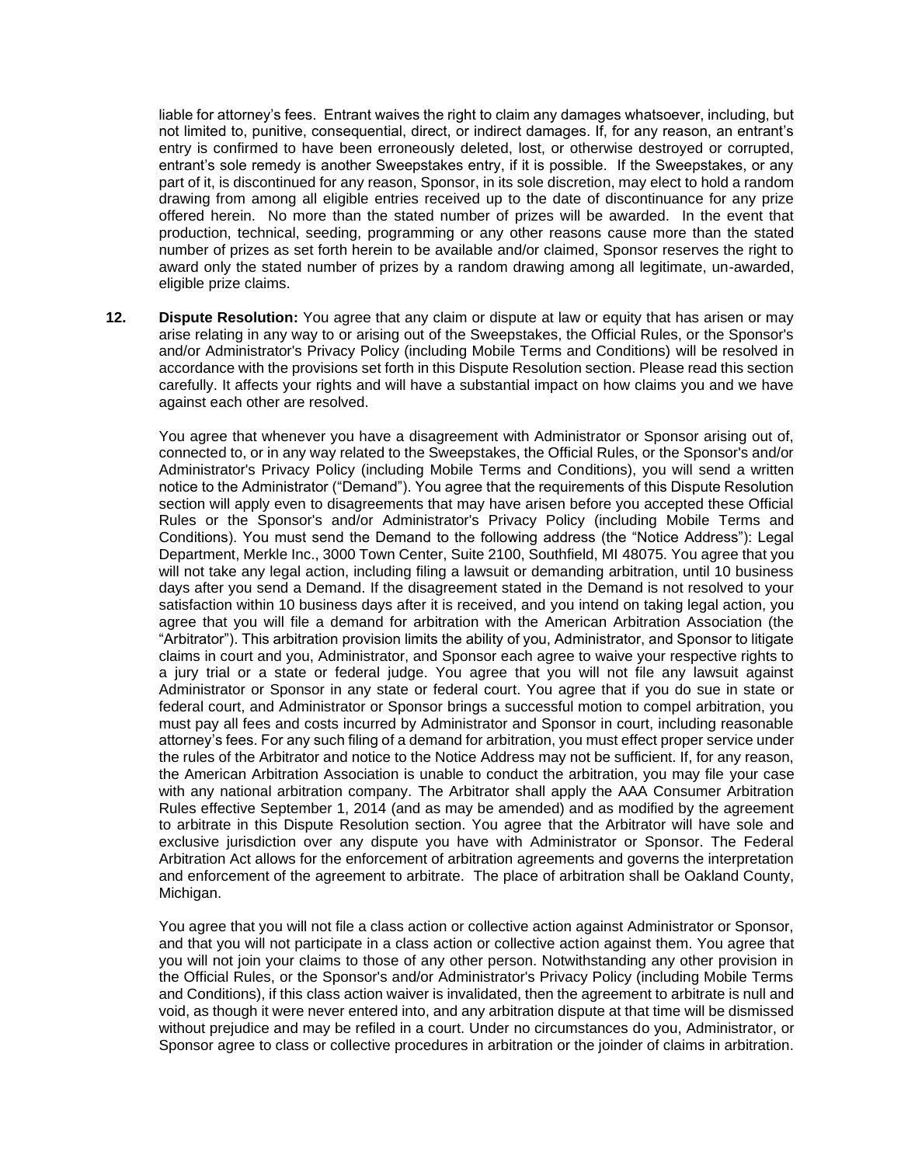liable for attorney's fees. Entrant waives the right to claim any damages whatsoever, including, but not limited to, punitive, consequential, direct, or indirect damages. If, for any reason, an entrant's entry is confirmed to have been erroneously deleted, lost, or otherwise destroyed or corrupted, entrant's sole remedy is another Sweepstakes entry, if it is possible. If the Sweepstakes, or any part of it, is discontinued for any reason, Sponsor, in its sole discretion, may elect to hold a random drawing from among all eligible entries received up to the date of discontinuance for any prize offered herein. No more than the stated number of prizes will be awarded. In the event that production, technical, seeding, programming or any other reasons cause more than the stated number of prizes as set forth herein to be available and/or claimed, Sponsor reserves the right to award only the stated number of prizes by a random drawing among all legitimate, un-awarded, eligible prize claims.

**12. Dispute Resolution:** You agree that any claim or dispute at law or equity that has arisen or may arise relating in any way to or arising out of the Sweepstakes, the Official Rules, or the Sponsor's and/or Administrator's Privacy Policy (including Mobile Terms and Conditions) will be resolved in accordance with the provisions set forth in this Dispute Resolution section. Please read this section carefully. It affects your rights and will have a substantial impact on how claims you and we have against each other are resolved.

You agree that whenever you have a disagreement with Administrator or Sponsor arising out of, connected to, or in any way related to the Sweepstakes, the Official Rules, or the Sponsor's and/or Administrator's Privacy Policy (including Mobile Terms and Conditions), you will send a written notice to the Administrator ("Demand"). You agree that the requirements of this Dispute Resolution section will apply even to disagreements that may have arisen before you accepted these Official Rules or the Sponsor's and/or Administrator's Privacy Policy (including Mobile Terms and Conditions). You must send the Demand to the following address (the "Notice Address"): Legal Department, Merkle Inc., 3000 Town Center, Suite 2100, Southfield, MI 48075. You agree that you will not take any legal action, including filing a lawsuit or demanding arbitration, until 10 business days after you send a Demand. If the disagreement stated in the Demand is not resolved to your satisfaction within 10 business days after it is received, and you intend on taking legal action, you agree that you will file a demand for arbitration with the American Arbitration Association (the "Arbitrator"). This arbitration provision limits the ability of you, Administrator, and Sponsor to litigate claims in court and you, Administrator, and Sponsor each agree to waive your respective rights to a jury trial or a state or federal judge. You agree that you will not file any lawsuit against Administrator or Sponsor in any state or federal court. You agree that if you do sue in state or federal court, and Administrator or Sponsor brings a successful motion to compel arbitration, you must pay all fees and costs incurred by Administrator and Sponsor in court, including reasonable attorney's fees. For any such filing of a demand for arbitration, you must effect proper service under the rules of the Arbitrator and notice to the Notice Address may not be sufficient. If, for any reason, the American Arbitration Association is unable to conduct the arbitration, you may file your case with any national arbitration company. The Arbitrator shall apply the AAA Consumer Arbitration Rules effective September 1, 2014 (and as may be amended) and as modified by the agreement to arbitrate in this Dispute Resolution section. You agree that the Arbitrator will have sole and exclusive jurisdiction over any dispute you have with Administrator or Sponsor. The Federal Arbitration Act allows for the enforcement of arbitration agreements and governs the interpretation and enforcement of the agreement to arbitrate. The place of arbitration shall be Oakland County, Michigan.

You agree that you will not file a class action or collective action against Administrator or Sponsor, and that you will not participate in a class action or collective action against them. You agree that you will not join your claims to those of any other person. Notwithstanding any other provision in the Official Rules, or the Sponsor's and/or Administrator's Privacy Policy (including Mobile Terms and Conditions), if this class action waiver is invalidated, then the agreement to arbitrate is null and void, as though it were never entered into, and any arbitration dispute at that time will be dismissed without prejudice and may be refiled in a court. Under no circumstances do you, Administrator, or Sponsor agree to class or collective procedures in arbitration or the joinder of claims in arbitration.